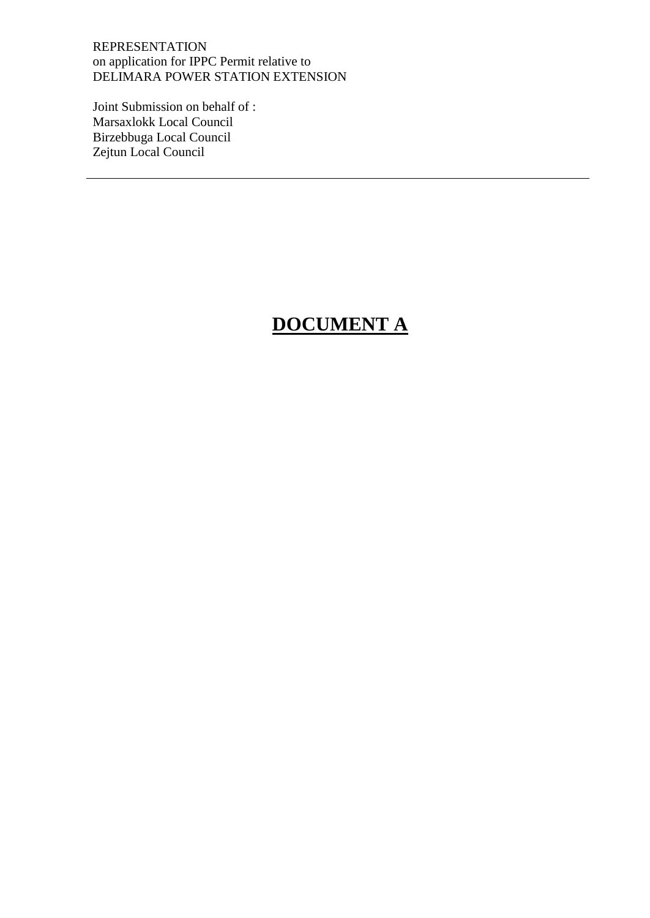Joint Submission on behalf of : Marsaxlokk Local Council Birzebbuga Local Council Zejtun Local Council

# **DOCUMENT A**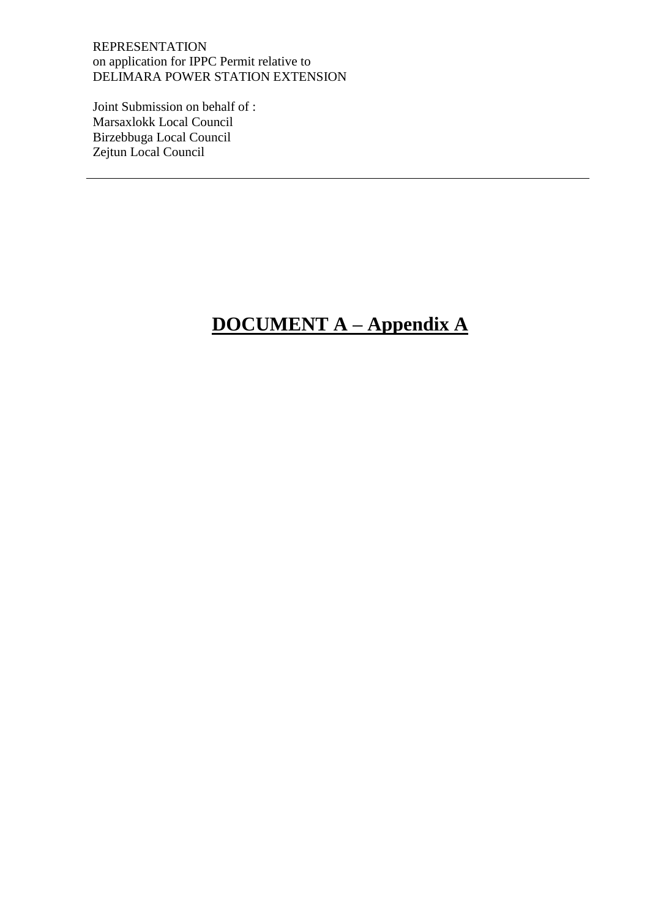Joint Submission on behalf of : Marsaxlokk Local Council Birzebbuga Local Council Zejtun Local Council

# **DOCUMENT A – Appendix A**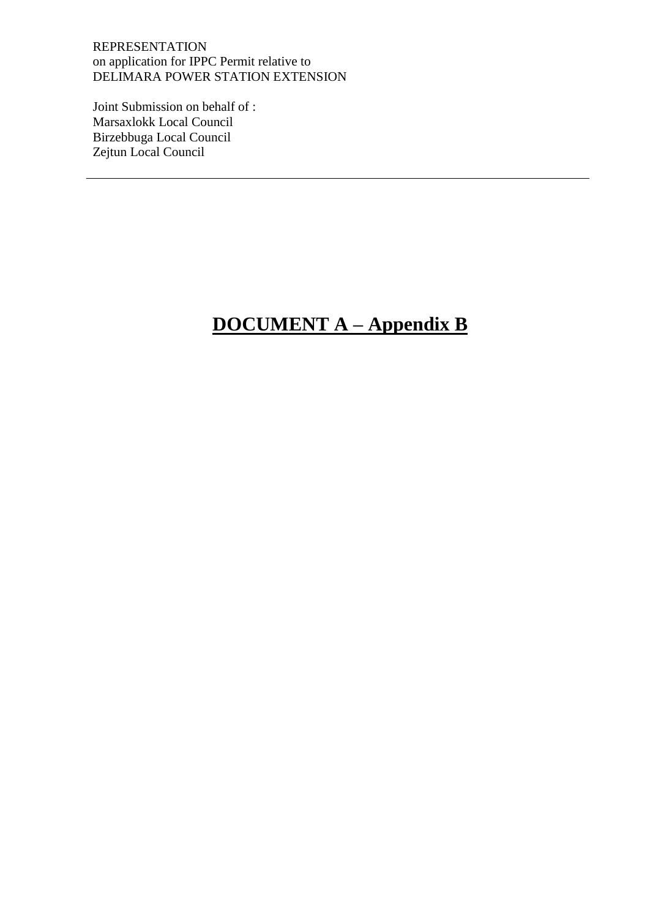Joint Submission on behalf of : Marsaxlokk Local Council Birzebbuga Local Council Zejtun Local Council

# **DOCUMENT A – Appendix B**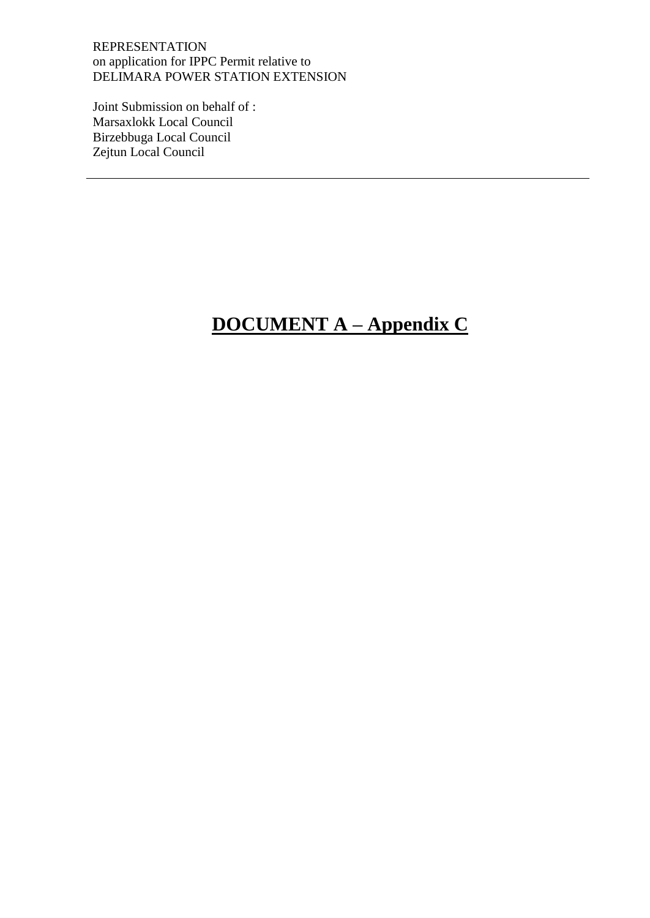Joint Submission on behalf of : Marsaxlokk Local Council Birzebbuga Local Council Zejtun Local Council

# **DOCUMENT A – Appendix C**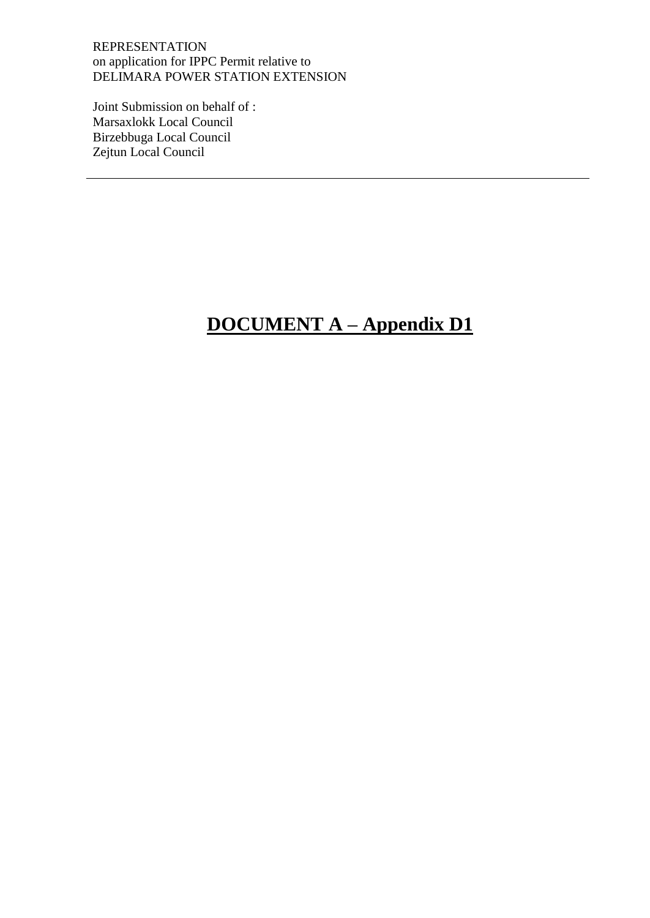Joint Submission on behalf of : Marsaxlokk Local Council Birzebbuga Local Council Zejtun Local Council

# **DOCUMENT A – Appendix D1**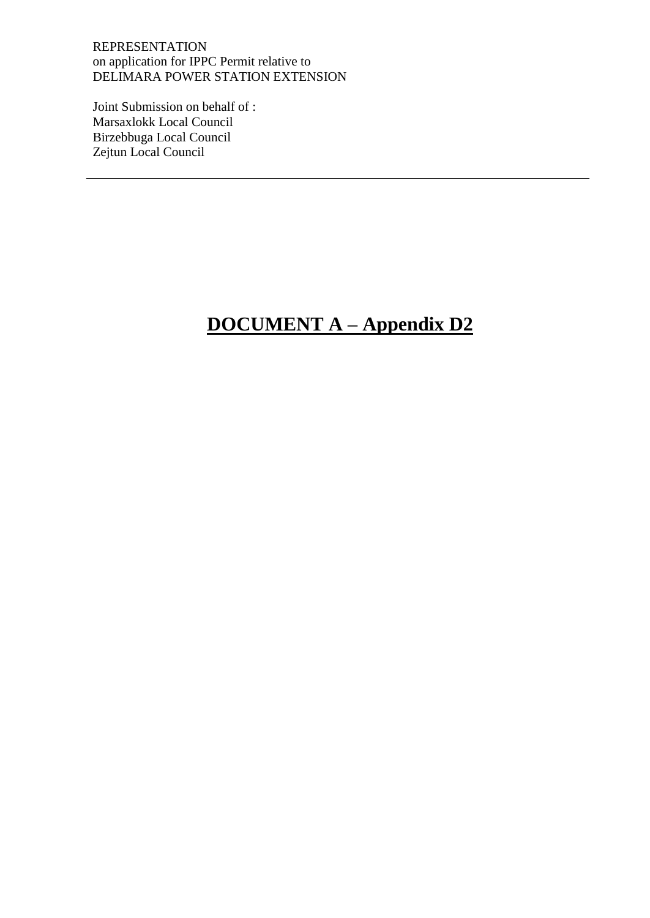Joint Submission on behalf of : Marsaxlokk Local Council Birzebbuga Local Council Zejtun Local Council

# **DOCUMENT A – Appendix D2**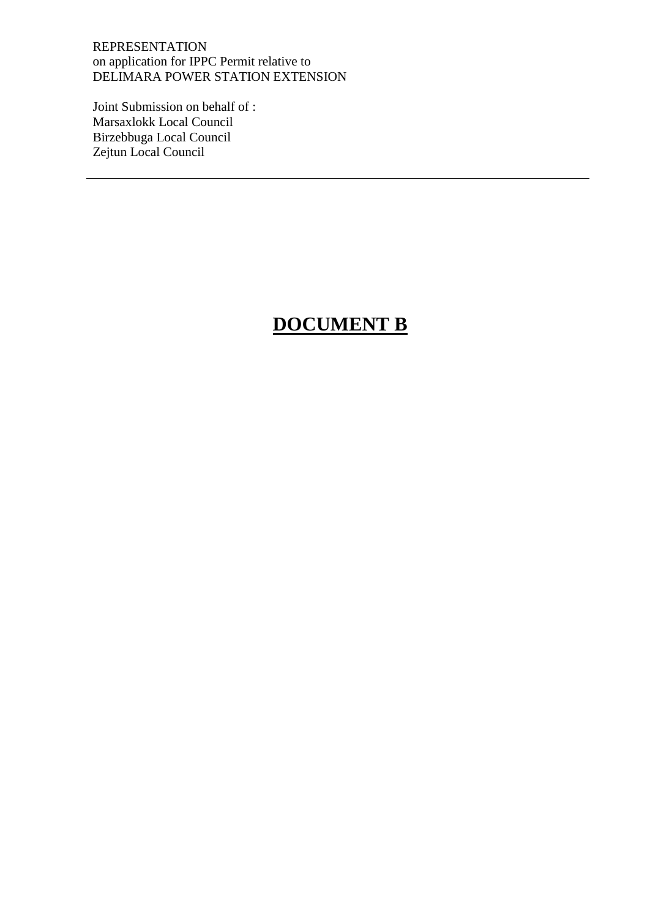Joint Submission on behalf of : Marsaxlokk Local Council Birzebbuga Local Council Zejtun Local Council

### **DOCUMENT B**